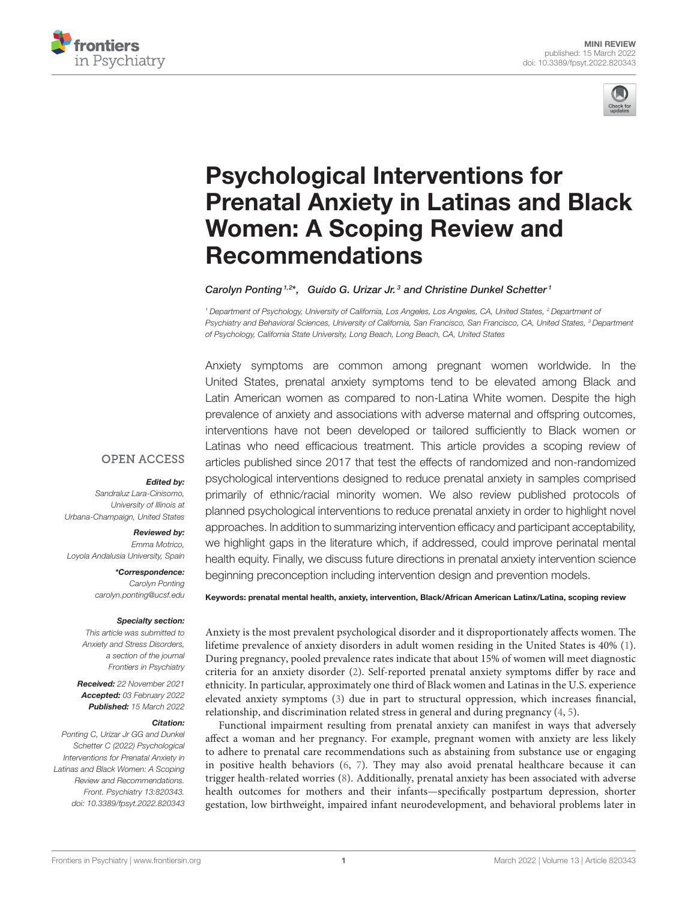



# Psychological Interventions for [Prenatal Anxiety in Latinas and Black](https://www.frontiersin.org/articles/10.3389/fpsyt.2022.820343/full) Women: A Scoping Review and Recommendations

Carolyn Ponting<sup>1,2\*</sup>, Guido G. Urizar Jr.<sup>3</sup> and Christine Dunkel Schetter<sup>1</sup>

*<sup>1</sup> Department of Psychology, University of California, Los Angeles, Los Angeles, CA, United States, <sup>2</sup> Department of Psychiatry and Behavioral Sciences, University of California, San Francisco, San Francisco, CA, United States, <sup>3</sup> Department of Psychology, California State University, Long Beach, Long Beach, CA, United States*

Anxiety symptoms are common among pregnant women worldwide. In the United States, prenatal anxiety symptoms tend to be elevated among Black and Latin American women as compared to non-Latina White women. Despite the high prevalence of anxiety and associations with adverse maternal and offspring outcomes, interventions have not been developed or tailored sufficiently to Black women or Latinas who need efficacious treatment. This article provides a scoping review of articles published since 2017 that test the effects of randomized and non-randomized psychological interventions designed to reduce prenatal anxiety in samples comprised primarily of ethnic/racial minority women. We also review published protocols of planned psychological interventions to reduce prenatal anxiety in order to highlight novel approaches. In addition to summarizing intervention efficacy and participant acceptability, we highlight gaps in the literature which, if addressed, could improve perinatal mental health equity. Finally, we discuss future directions in prenatal anxiety intervention science beginning preconception including intervention design and prevention models.

#### **OPEN ACCESS**

#### Edited by:

*Sandraluz Lara-Cinisomo, University of Illinois at Urbana-Champaign, United States*

#### Reviewed by:

*Emma Motrico, Loyola Andalusia University, Spain*

> \*Correspondence: *Carolyn Ponting [carolyn.ponting@ucsf.edu](mailto:carolyn.ponting@ucsf.edu)*

#### Specialty section:

*This article was submitted to Anxiety and Stress Disorders, a section of the journal Frontiers in Psychiatry*

Received: *22 November 2021* Accepted: *03 February 2022* Published: *15 March 2022*

#### Citation:

*Ponting C, Urizar Jr GG and Dunkel Schetter C (2022) Psychological Interventions for Prenatal Anxiety in Latinas and Black Women: A Scoping Review and Recommendations. Front. Psychiatry 13:820343. doi: [10.3389/fpsyt.2022.820343](https://doi.org/10.3389/fpsyt.2022.820343)* Keywords: prenatal mental health, anxiety, intervention, Black/African American Latinx/Latina, scoping review

Anxiety is the most prevalent psychological disorder and it disproportionately affects women. The lifetime prevalence of anxiety disorders in adult women residing in the United States is 40% [\(1\)](#page-7-0). During pregnancy, pooled prevalence rates indicate that about 15% of women will meet diagnostic criteria for an anxiety disorder [\(2\)](#page-7-1). Self-reported prenatal anxiety symptoms differ by race and ethnicity. In particular, approximately one third of Black women and Latinas in the U.S. experience elevated anxiety symptoms [\(3\)](#page-7-2) due in part to structural oppression, which increases financial, relationship, and discrimination related stress in general and during pregnancy [\(4,](#page-7-3) [5\)](#page-8-0).

Functional impairment resulting from prenatal anxiety can manifest in ways that adversely affect a woman and her pregnancy. For example, pregnant women with anxiety are less likely to adhere to prenatal care recommendations such as abstaining from substance use or engaging in positive health behaviors [\(6,](#page-8-1) [7\)](#page-8-2). They may also avoid prenatal healthcare because it can trigger health-related worries [\(8\)](#page-8-3). Additionally, prenatal anxiety has been associated with adverse health outcomes for mothers and their infants—specifically postpartum depression, shorter gestation, low birthweight, impaired infant neurodevelopment, and behavioral problems later in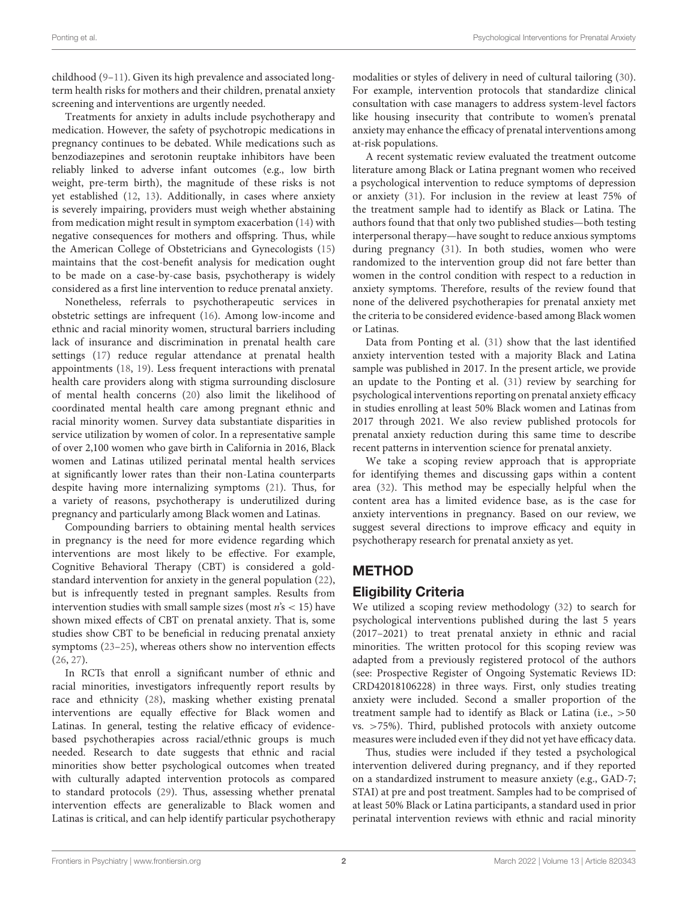childhood [\(9](#page-8-4)[–11\)](#page-8-5). Given its high prevalence and associated longterm health risks for mothers and their children, prenatal anxiety screening and interventions are urgently needed.

Treatments for anxiety in adults include psychotherapy and medication. However, the safety of psychotropic medications in pregnancy continues to be debated. While medications such as benzodiazepines and serotonin reuptake inhibitors have been reliably linked to adverse infant outcomes (e.g., low birth weight, pre-term birth), the magnitude of these risks is not yet established [\(12,](#page-8-6) [13\)](#page-8-7). Additionally, in cases where anxiety is severely impairing, providers must weigh whether abstaining from medication might result in symptom exacerbation [\(14\)](#page-8-8) with negative consequences for mothers and offspring. Thus, while the American College of Obstetricians and Gynecologists [\(15\)](#page-8-9) maintains that the cost-benefit analysis for medication ought to be made on a case-by-case basis, psychotherapy is widely considered as a first line intervention to reduce prenatal anxiety.

Nonetheless, referrals to psychotherapeutic services in obstetric settings are infrequent [\(16\)](#page-8-10). Among low-income and ethnic and racial minority women, structural barriers including lack of insurance and discrimination in prenatal health care settings [\(17\)](#page-8-11) reduce regular attendance at prenatal health appointments [\(18,](#page-8-12) [19\)](#page-8-13). Less frequent interactions with prenatal health care providers along with stigma surrounding disclosure of mental health concerns [\(20\)](#page-8-14) also limit the likelihood of coordinated mental health care among pregnant ethnic and racial minority women. Survey data substantiate disparities in service utilization by women of color. In a representative sample of over 2,100 women who gave birth in California in 2016, Black women and Latinas utilized perinatal mental health services at significantly lower rates than their non-Latina counterparts despite having more internalizing symptoms [\(21\)](#page-8-15). Thus, for a variety of reasons, psychotherapy is underutilized during pregnancy and particularly among Black women and Latinas.

Compounding barriers to obtaining mental health services in pregnancy is the need for more evidence regarding which interventions are most likely to be effective. For example, Cognitive Behavioral Therapy (CBT) is considered a goldstandard intervention for anxiety in the general population [\(22\)](#page-8-16), but is infrequently tested in pregnant samples. Results from intervention studies with small sample sizes (most  $n's < 15$ ) have shown mixed effects of CBT on prenatal anxiety. That is, some studies show CBT to be beneficial in reducing prenatal anxiety symptoms [\(23](#page-8-17)[–25\)](#page-8-18), whereas others show no intervention effects [\(26,](#page-8-19) [27\)](#page-8-20).

In RCTs that enroll a significant number of ethnic and racial minorities, investigators infrequently report results by race and ethnicity [\(28\)](#page-8-21), masking whether existing prenatal interventions are equally effective for Black women and Latinas. In general, testing the relative efficacy of evidencebased psychotherapies across racial/ethnic groups is much needed. Research to date suggests that ethnic and racial minorities show better psychological outcomes when treated with culturally adapted intervention protocols as compared to standard protocols [\(29\)](#page-8-22). Thus, assessing whether prenatal intervention effects are generalizable to Black women and Latinas is critical, and can help identify particular psychotherapy modalities or styles of delivery in need of cultural tailoring [\(30\)](#page-8-23). For example, intervention protocols that standardize clinical consultation with case managers to address system-level factors like housing insecurity that contribute to women's prenatal anxiety may enhance the efficacy of prenatal interventions among at-risk populations.

A recent systematic review evaluated the treatment outcome literature among Black or Latina pregnant women who received a psychological intervention to reduce symptoms of depression or anxiety [\(31\)](#page-8-24). For inclusion in the review at least 75% of the treatment sample had to identify as Black or Latina. The authors found that that only two published studies—both testing interpersonal therapy—have sought to reduce anxious symptoms during pregnancy [\(31\)](#page-8-24). In both studies, women who were randomized to the intervention group did not fare better than women in the control condition with respect to a reduction in anxiety symptoms. Therefore, results of the review found that none of the delivered psychotherapies for prenatal anxiety met the criteria to be considered evidence-based among Black women or Latinas.

Data from Ponting et al. [\(31\)](#page-8-24) show that the last identified anxiety intervention tested with a majority Black and Latina sample was published in 2017. In the present article, we provide an update to the Ponting et al. [\(31\)](#page-8-24) review by searching for psychological interventions reporting on prenatal anxiety efficacy in studies enrolling at least 50% Black women and Latinas from 2017 through 2021. We also review published protocols for prenatal anxiety reduction during this same time to describe recent patterns in intervention science for prenatal anxiety.

We take a scoping review approach that is appropriate for identifying themes and discussing gaps within a content area [\(32\)](#page-8-25). This method may be especially helpful when the content area has a limited evidence base, as is the case for anxiety interventions in pregnancy. Based on our review, we suggest several directions to improve efficacy and equity in psychotherapy research for prenatal anxiety as yet.

### METHOD

#### Eligibility Criteria

We utilized a scoping review methodology [\(32\)](#page-8-25) to search for psychological interventions published during the last 5 years (2017–2021) to treat prenatal anxiety in ethnic and racial minorities. The written protocol for this scoping review was adapted from a previously registered protocol of the authors (see: Prospective Register of Ongoing Systematic Reviews ID: CRD42018106228) in three ways. First, only studies treating anxiety were included. Second a smaller proportion of the treatment sample had to identify as Black or Latina (i.e., >50 vs. >75%). Third, published protocols with anxiety outcome measures were included even if they did not yet have efficacy data.

Thus, studies were included if they tested a psychological intervention delivered during pregnancy, and if they reported on a standardized instrument to measure anxiety (e.g., GAD-7; STAI) at pre and post treatment. Samples had to be comprised of at least 50% Black or Latina participants, a standard used in prior perinatal intervention reviews with ethnic and racial minority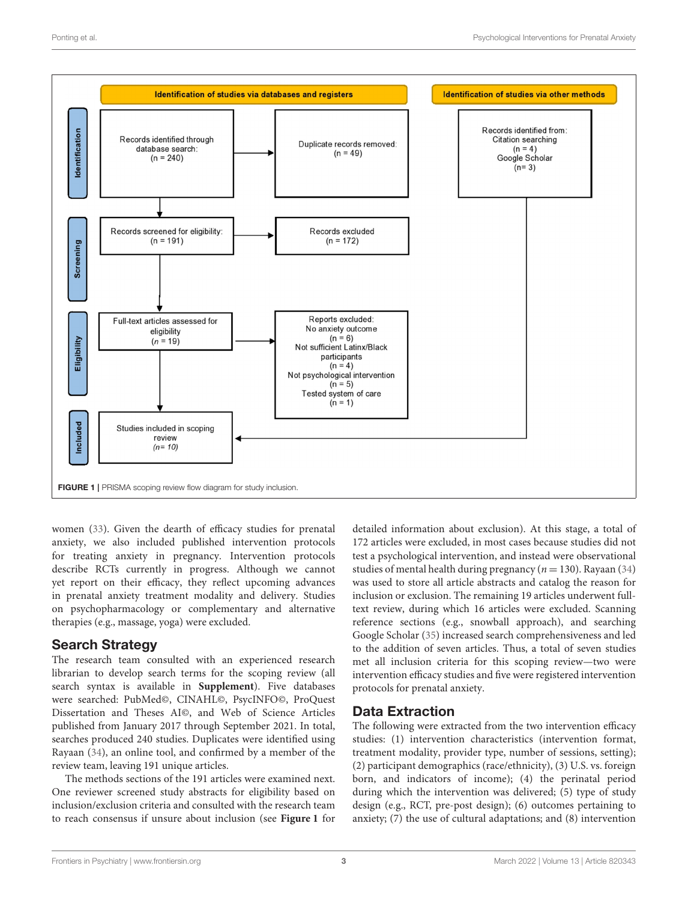

<span id="page-2-0"></span>women [\(33\)](#page-8-26). Given the dearth of efficacy studies for prenatal anxiety, we also included published intervention protocols for treating anxiety in pregnancy. Intervention protocols describe RCTs currently in progress. Although we cannot yet report on their efficacy, they reflect upcoming advances in prenatal anxiety treatment modality and delivery. Studies on psychopharmacology or complementary and alternative therapies (e.g., massage, yoga) were excluded.

#### Search Strategy

The research team consulted with an experienced research librarian to develop search terms for the scoping review (all search syntax is available in **[Supplement](#page-7-4)**). Five databases were searched: PubMed©, CINAHL©, PsycINFO©, ProQuest Dissertation and Theses AI©, and Web of Science Articles published from January 2017 through September 2021. In total, searches produced 240 studies. Duplicates were identified using Rayaan [\(34\)](#page-8-27), an online tool, and confirmed by a member of the review team, leaving 191 unique articles.

The methods sections of the 191 articles were examined next. One reviewer screened study abstracts for eligibility based on inclusion/exclusion criteria and consulted with the research team to reach consensus if unsure about inclusion (see **[Figure 1](#page-2-0)** for detailed information about exclusion). At this stage, a total of 172 articles were excluded, in most cases because studies did not test a psychological intervention, and instead were observational studies of mental health during pregnancy ( $n = 130$ ). Rayaan [\(34\)](#page-8-27) was used to store all article abstracts and catalog the reason for inclusion or exclusion. The remaining 19 articles underwent fulltext review, during which 16 articles were excluded. Scanning reference sections (e.g., snowball approach), and searching Google Scholar [\(35\)](#page-8-28) increased search comprehensiveness and led to the addition of seven articles. Thus, a total of seven studies met all inclusion criteria for this scoping review—two were intervention efficacy studies and five were registered intervention protocols for prenatal anxiety.

### Data Extraction

The following were extracted from the two intervention efficacy studies: (1) intervention characteristics (intervention format, treatment modality, provider type, number of sessions, setting); (2) participant demographics (race/ethnicity), (3) U.S. vs. foreign born, and indicators of income); (4) the perinatal period during which the intervention was delivered; (5) type of study design (e.g., RCT, pre-post design); (6) outcomes pertaining to anxiety; (7) the use of cultural adaptations; and (8) intervention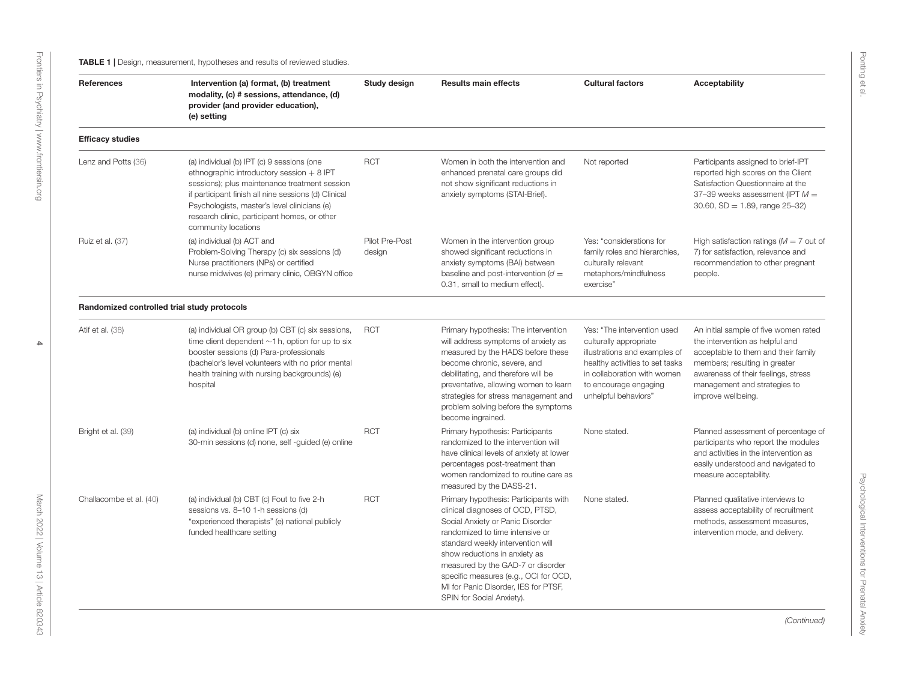<span id="page-3-0"></span>

| <b>References</b>                           | Intervention (a) format, (b) treatment<br>modality, (c) # sessions, attendance, (d)<br>provider (and provider education),<br>(e) setting                                                                                                                                                                                                                                               | Study design | <b>Results main effects</b>                                                                                                                                                                                                                                                                                                                                               | <b>Cultural factors</b>                                                                                                                                                                                                                                   | <b>Acceptability</b>                                                                                                                                                                                                                          |
|---------------------------------------------|----------------------------------------------------------------------------------------------------------------------------------------------------------------------------------------------------------------------------------------------------------------------------------------------------------------------------------------------------------------------------------------|--------------|---------------------------------------------------------------------------------------------------------------------------------------------------------------------------------------------------------------------------------------------------------------------------------------------------------------------------------------------------------------------------|-----------------------------------------------------------------------------------------------------------------------------------------------------------------------------------------------------------------------------------------------------------|-----------------------------------------------------------------------------------------------------------------------------------------------------------------------------------------------------------------------------------------------|
| <b>Efficacy studies</b>                     |                                                                                                                                                                                                                                                                                                                                                                                        |              |                                                                                                                                                                                                                                                                                                                                                                           |                                                                                                                                                                                                                                                           |                                                                                                                                                                                                                                               |
| Lenz and Potts (36)                         | <b>RCT</b><br>(a) individual (b) IPT (c) 9 sessions (one<br>ethnographic introductory session $+8$ IPT<br>sessions); plus maintenance treatment session<br>if participant finish all nine sessions (d) Clinical<br>Psychologists, master's level clinicians (e)<br>research clinic, participant homes, or other<br>community locations<br>(a) individual (b) ACT and<br>Pilot Pre-Post |              | Women in both the intervention and<br>Not reported<br>enhanced prenatal care groups did<br>not show significant reductions in<br>anxiety symptoms (STAI-Brief).                                                                                                                                                                                                           |                                                                                                                                                                                                                                                           | Participants assigned to brief-IPT<br>reported high scores on the Client<br>Satisfaction Questionnaire at the<br>37-39 weeks assessment (IPT $M =$<br>$30.60$ , SD = 1.89, range $25-32$ )                                                    |
| Ruiz et al. (37)                            | Problem-Solving Therapy (c) six sessions (d)<br>Nurse practitioners (NPs) or certified<br>nurse midwives (e) primary clinic, OBGYN office                                                                                                                                                                                                                                              | design       | Women in the intervention group<br>showed significant reductions in<br>anxiety symptoms (BAI) between<br>baseline and post-intervention $(d =$<br>0.31, small to medium effect).                                                                                                                                                                                          | High satisfaction ratings ( $M = 7$ out of<br>Yes: "considerations for<br>7) for satisfaction, relevance and<br>family roles and hierarchies,<br>culturally relevant<br>recommendation to other pregnant<br>metaphors/mindfulness<br>people.<br>exercise" |                                                                                                                                                                                                                                               |
| Randomized controlled trial study protocols |                                                                                                                                                                                                                                                                                                                                                                                        |              |                                                                                                                                                                                                                                                                                                                                                                           |                                                                                                                                                                                                                                                           |                                                                                                                                                                                                                                               |
| Atif et al. (38)                            | (a) individual OR group (b) CBT (c) six sessions,<br>time client dependent $\sim$ 1 h, option for up to six<br>booster sessions (d) Para-professionals<br>(bachelor's level volunteers with no prior mental<br>health training with nursing backgrounds) (e)<br>hospital                                                                                                               | <b>RCT</b>   | Primary hypothesis: The intervention<br>will address symptoms of anxiety as<br>measured by the HADS before these<br>become chronic, severe, and<br>debilitating, and therefore will be<br>preventative, allowing women to learn<br>strategies for stress management and<br>problem solving before the symptoms<br>become ingrained.                                       | Yes: "The intervention used<br>culturally appropriate<br>illustrations and examples of<br>healthy activities to set tasks<br>in collaboration with women<br>to encourage engaging<br>unhelpful behaviors"                                                 | An initial sample of five women rated<br>the intervention as helpful and<br>acceptable to them and their family<br>members; resulting in greater<br>awareness of their feelings, stress<br>management and strategies to<br>improve wellbeing. |
| Bright et al. (39)                          | (a) individual (b) online IPT (c) six<br>30-min sessions (d) none, self-quided (e) online                                                                                                                                                                                                                                                                                              | <b>RCT</b>   | Primary hypothesis: Participants<br>randomized to the intervention will<br>have clinical levels of anxiety at lower<br>percentages post-treatment than<br>women randomized to routine care as<br>measured by the DASS-21.                                                                                                                                                 | None stated.                                                                                                                                                                                                                                              | Planned assessment of percentage of<br>participants who report the modules<br>and activities in the intervention as<br>easily understood and navigated to<br>measure acceptability.                                                           |
| Challacombe et al. (40)                     | (a) individual (b) CBT (c) Fout to five 2-h<br>sessions vs. 8-10 1-h sessions (d)<br>"experienced therapists" (e) national publicly<br>funded healthcare setting                                                                                                                                                                                                                       | <b>RCT</b>   | Primary hypothesis: Participants with<br>clinical diagnoses of OCD, PTSD,<br>Social Anxiety or Panic Disorder<br>randomized to time intensive or<br>standard weekly intervention will<br>show reductions in anxiety as<br>measured by the GAD-7 or disorder<br>specific measures (e.g., OCI for OCD,<br>MI for Panic Disorder, IES for PTSF,<br>SPIN for Social Anxiety). | None stated.                                                                                                                                                                                                                                              | Planned qualitative interviews to<br>assess acceptability of recruitment<br>methods, assessment measures.<br>intervention mode, and delivery.                                                                                                 |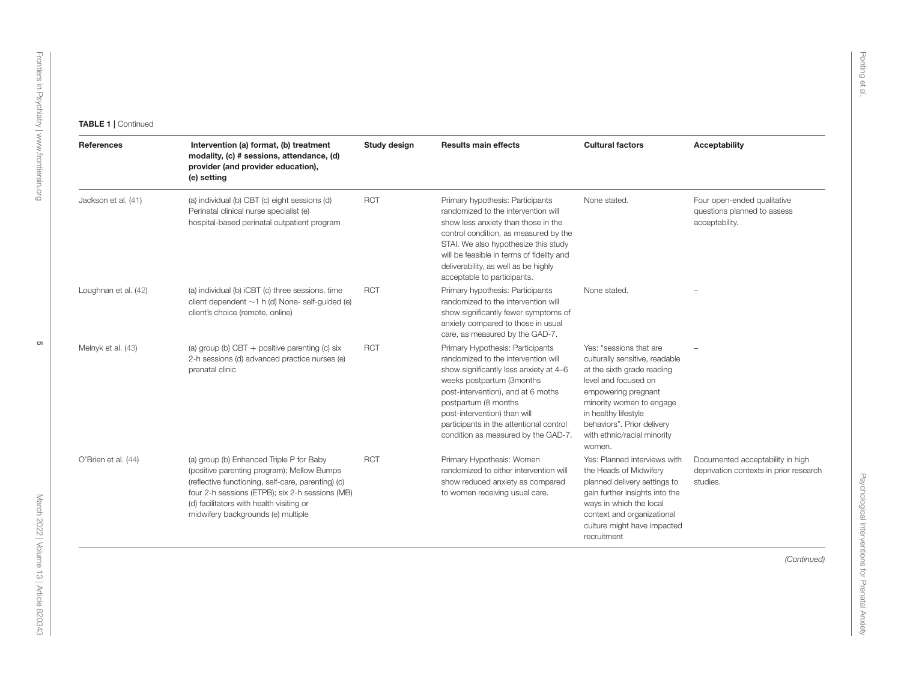| References           | Intervention (a) format, (b) treatment<br>modality, (c) # sessions, attendance, (d)<br>provider (and provider education),<br>(e) setting                                                                                                                                          | Study design | <b>Results main effects</b>                                                                                                                                                                                                                                                                                                    | <b>Cultural factors</b>                                                                                                                                                                                                                                           | <b>Acceptability</b>                                                                   |
|----------------------|-----------------------------------------------------------------------------------------------------------------------------------------------------------------------------------------------------------------------------------------------------------------------------------|--------------|--------------------------------------------------------------------------------------------------------------------------------------------------------------------------------------------------------------------------------------------------------------------------------------------------------------------------------|-------------------------------------------------------------------------------------------------------------------------------------------------------------------------------------------------------------------------------------------------------------------|----------------------------------------------------------------------------------------|
| Jackson et al. (41)  | (a) individual (b) CBT (c) eight sessions (d)<br>Perinatal clinical nurse specialist (e)<br>hospital-based perinatal outpatient program                                                                                                                                           | <b>RCT</b>   | Primary hypothesis: Participants<br>randomized to the intervention will<br>show less anxiety than those in the<br>control condition, as measured by the<br>STAI. We also hypothesize this study<br>will be feasible in terms of fidelity and<br>deliverability, as well as be highly<br>acceptable to participants.            | None stated.                                                                                                                                                                                                                                                      | Four open-ended qualitative<br>questions planned to assess<br>acceptability.           |
| Loughnan et al. (42) | (a) individual (b) iCBT (c) three sessions, time<br>client dependent $\sim$ 1 h (d) None-self-guided (e)<br>client's choice (remote, online)                                                                                                                                      | <b>RCT</b>   | Primary hypothesis: Participants<br>randomized to the intervention will<br>show significantly fewer symptoms of<br>anxiety compared to those in usual<br>care, as measured by the GAD-7.                                                                                                                                       | None stated.                                                                                                                                                                                                                                                      |                                                                                        |
| Melnyk et al. (43)   | (a) group (b) CBT $+$ positive parenting (c) six<br>2-h sessions (d) advanced practice nurses (e)<br>prenatal clinic                                                                                                                                                              | <b>RCT</b>   | Primary Hypothesis: Participants<br>randomized to the intervention will<br>show significantly less anxiety at 4-6<br>weeks postpartum (3months<br>post-intervention), and at 6 moths<br>postpartum (8 months<br>post-intervention) than will<br>participants in the attentional control<br>condition as measured by the GAD-7. | Yes: "sessions that are<br>culturally sensitive, readable<br>at the sixth grade reading<br>level and focused on<br>empowering pregnant<br>minority women to engage<br>in healthy lifestyle<br>behaviors". Prior delivery<br>with ethnic/racial minority<br>women. |                                                                                        |
| O'Brien et al. (44)  | (a) group (b) Enhanced Triple P for Baby<br>(positive parenting program); Mellow Bumps<br>(reflective functioning, self-care, parenting) (c)<br>four 2-h sessions (ETPB); six 2-h sessions (MB)<br>(d) facilitators with health visiting or<br>midwifery backgrounds (e) multiple | <b>RCT</b>   | Primary Hypothesis: Women<br>randomized to either intervention will<br>show reduced anxiety as compared<br>to women receiving usual care.                                                                                                                                                                                      | Yes: Planned interviews with<br>the Heads of Midwifery<br>planned delivery settings to<br>gain further insights into the<br>ways in which the local<br>context and organizational<br>culture might have impacted<br>recruitment                                   | Documented acceptability in high<br>deprivation contexts in prior research<br>studies. |
|                      |                                                                                                                                                                                                                                                                                   |              |                                                                                                                                                                                                                                                                                                                                |                                                                                                                                                                                                                                                                   | (Continued)                                                                            |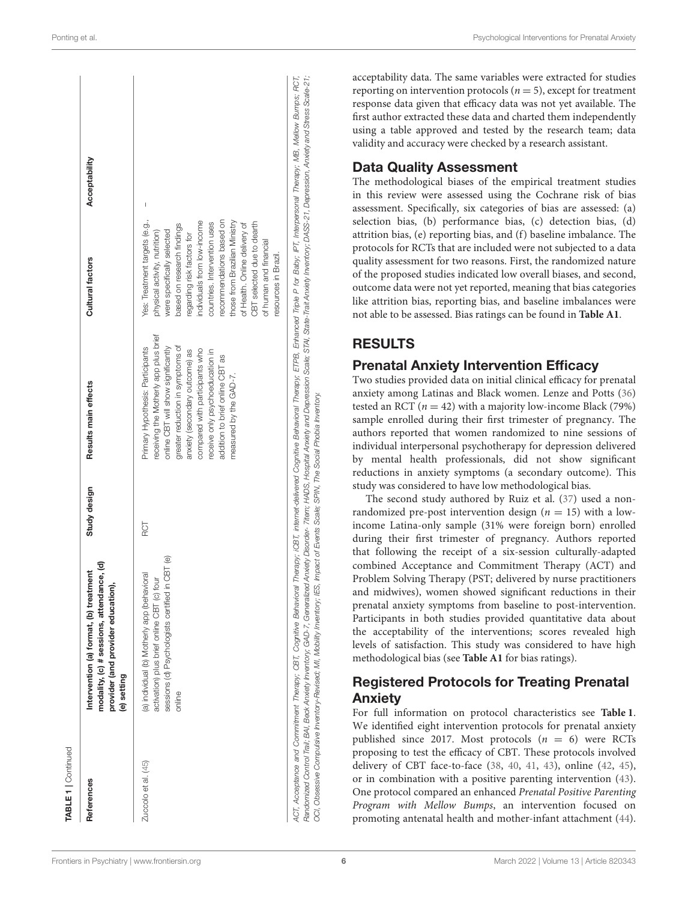| receiving the Motherly app plus brief<br>Primary Hypothesis: Participants                                                                                                                                                                                                                                                                                                                                                                               |                                                                                                                                                                                                                                                                                                                                                                                                       | Acceptability |
|---------------------------------------------------------------------------------------------------------------------------------------------------------------------------------------------------------------------------------------------------------------------------------------------------------------------------------------------------------------------------------------------------------------------------------------------------------|-------------------------------------------------------------------------------------------------------------------------------------------------------------------------------------------------------------------------------------------------------------------------------------------------------------------------------------------------------------------------------------------------------|---------------|
| greater reduction in symptoms of<br>online CBT will show significantly<br>compared with participants who<br>receive only psychoeducation in<br>anxiety (secondary outcome) as<br>addition to brief online CBT as<br>measured by the GAD-7.                                                                                                                                                                                                              | Yes: Treatment targets (e.g.,<br>those from Brazilian Ministry<br>recommendations based on<br>individuals from low-income<br>CBT selected due to dearth<br>countries. Intervention uses<br>of Health. Online delivery of<br>based on research findings<br>physical activity, nutrition)<br>were specifically selected<br>regarding risk factors for<br>of human and financial<br>resources in Brazil. |               |
| ACT, Acceptance and Commitment Therapy; CBT, Cognitive Behavioral Therapt; CBT, internet-delivered Cognitive Behavioral Therapy; ETPB, Enhanced Triple P for Baby; IPT, Interpersonal Therapy; MB, Mellow Bumps; RCT,<br>Randomized Control Trail; BAJ, Beck Anxiety Invertiory; GAD-77, Generalized Anxiety Discrider- Tritem; HADS, Housely and Depression Scale; STAI, Strate-Trait Anxiety Inventory: DASS-21, Depression, Anxiety and Stress Scale |                                                                                                                                                                                                                                                                                                                                                                                                       |               |

acceptability data. The same variables were extracted for studies reporting on intervention protocols ( $n = 5$ ), except for treatment response data given that efficacy data was not yet available. The first author extracted these data and charted them independently using a table approved and tested by the research team; data validity and accuracy were checked by a research assistant. Data Quality Assessment The methodological biases of the empirical treatment studies in this review were assessed using the Cochrane risk of bias assessment. Specifically, six categories of bias are assessed: (a) selection bias, (b) performance bias, (c) detection bias, (d) attrition bias, (e) reporting bias, and (f) baseline imbalance. The protocols for RCTs that are included were not subjected to a data quality assessment for two reasons. First, the randomized nature of the proposed studies indicated low overall biases, and second, outcome data were not yet reported, meaning that bias categories like attrition bias, reporting bias, and baseline imbalances were not able to be assessed. Bias ratings can be found in **[Table A1](#page-10-0)**. RESULTS

 $\overline{RT}$ 

## Prenatal Anxiety Intervention Efficacy

Two studies provided data on initial clinical efficacy for prenatal anxiety among Latinas and Black women. Lenze and Potts [\(36\)](#page-8-37) tested an RCT ( $n = 42$ ) with a majority low-income Black (79%) sample enrolled during their first trimester of pregnancy. The authors reported that women randomized to nine sessions of individual interpersonal psychotherapy for depression delivered by mental health professionals, did not show significant reductions in anxiety symptoms (a secondary outcome). This study was considered to have low methodological bias.

The second study authored by Ruiz et al. [\(37\)](#page-8-38) used a nonrandomized pre-post intervention design ( $n = 15$ ) with a lowincome Latina-only sample (31% were foreign born) enrolled during their first trimester of pregnancy. Authors reported that following the receipt of a six-session culturally-adapted combined Acceptance and Commitment Therapy (ACT) and Problem Solving Therapy (PST; delivered by nurse practitioners and midwives), women showed significant reductions in their prenatal anxiety symptoms from baseline to post-intervention. Participants in both studies provided quantitative data about the acceptability of the interventions; scores revealed high levels of satisfaction. This study was considered to have high methodological bias (see **[Table A1](#page-10-0)** for bias ratings).

## Registered Protocols for Treating Prenatal Anxiety

For full information on protocol characteristics see **[Table 1](#page-3-0)**. We identified eight intervention protocols for prenatal anxiety published since 2017. Most protocols  $(n = 6)$  were RCTs proposing to test the efficacy of CBT. These protocols involved delivery of CBT face-to-face [\(38,](#page-8-39) [40,](#page-8-40) [41,](#page-8-41) [43\)](#page-8-42), online [\(42,](#page-8-43) [45\)](#page-9-1), or in combination with a positive parenting intervention [\(43\)](#page-8-42). One protocol compared an enhanced Prenatal Positive Parenting Program with Mellow Bumps, an intervention focused on promoting antenatal health and mother-infant attachment [\(44\)](#page-9-2).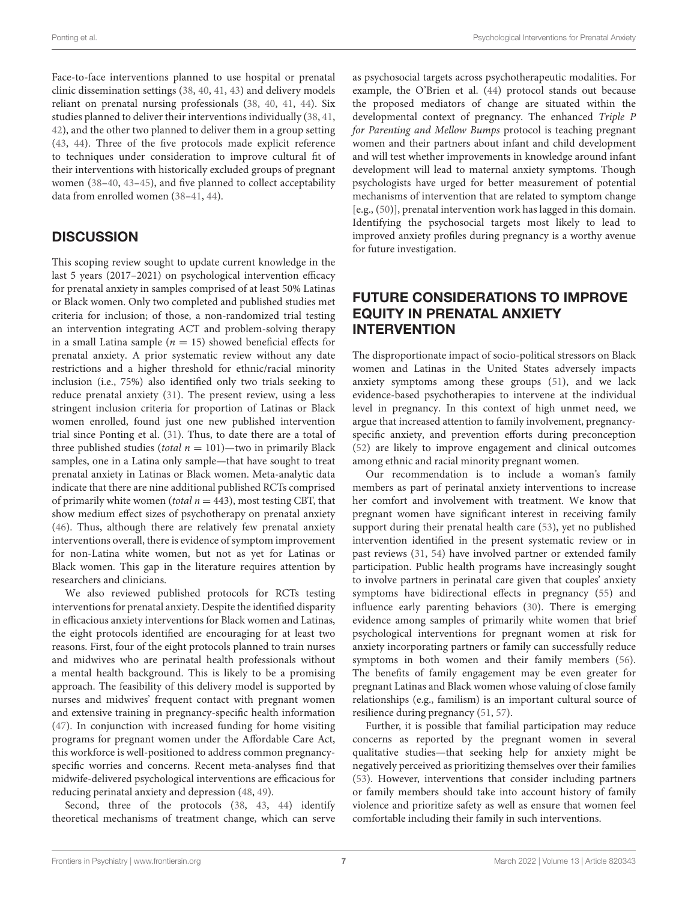Face-to-face interventions planned to use hospital or prenatal clinic dissemination settings [\(38,](#page-8-39) [40,](#page-8-40) [41,](#page-8-41) [43\)](#page-8-42) and delivery models reliant on prenatal nursing professionals [\(38,](#page-8-39) [40,](#page-8-40) [41,](#page-8-41) [44\)](#page-9-2). Six studies planned to deliver their interventions individually [\(38,](#page-8-39) [41,](#page-8-41) [42\)](#page-8-43), and the other two planned to deliver them in a group setting [\(43,](#page-8-42) [44\)](#page-9-2). Three of the five protocols made explicit reference to techniques under consideration to improve cultural fit of their interventions with historically excluded groups of pregnant women [\(38](#page-8-39)[–40,](#page-8-40) [43](#page-8-42)[–45\)](#page-9-1), and five planned to collect acceptability data from enrolled women [\(38](#page-8-39)[–41,](#page-8-41) [44\)](#page-9-2).

## **DISCUSSION**

This scoping review sought to update current knowledge in the last 5 years (2017–2021) on psychological intervention efficacy for prenatal anxiety in samples comprised of at least 50% Latinas or Black women. Only two completed and published studies met criteria for inclusion; of those, a non-randomized trial testing an intervention integrating ACT and problem-solving therapy in a small Latina sample ( $n = 15$ ) showed beneficial effects for prenatal anxiety. A prior systematic review without any date restrictions and a higher threshold for ethnic/racial minority inclusion (i.e., 75%) also identified only two trials seeking to reduce prenatal anxiety [\(31\)](#page-8-24). The present review, using a less stringent inclusion criteria for proportion of Latinas or Black women enrolled, found just one new published intervention trial since Ponting et al. [\(31\)](#page-8-24). Thus, to date there are a total of three published studies (total  $n = 101$ )—two in primarily Black samples, one in a Latina only sample—that have sought to treat prenatal anxiety in Latinas or Black women. Meta-analytic data indicate that there are nine additional published RCTs comprised of primarily white women (total  $n = 443$ ), most testing CBT, that show medium effect sizes of psychotherapy on prenatal anxiety [\(46\)](#page-9-3). Thus, although there are relatively few prenatal anxiety interventions overall, there is evidence of symptom improvement for non-Latina white women, but not as yet for Latinas or Black women. This gap in the literature requires attention by researchers and clinicians.

We also reviewed published protocols for RCTs testing interventions for prenatal anxiety. Despite the identified disparity in efficacious anxiety interventions for Black women and Latinas, the eight protocols identified are encouraging for at least two reasons. First, four of the eight protocols planned to train nurses and midwives who are perinatal health professionals without a mental health background. This is likely to be a promising approach. The feasibility of this delivery model is supported by nurses and midwives' frequent contact with pregnant women and extensive training in pregnancy-specific health information [\(47\)](#page-9-4). In conjunction with increased funding for home visiting programs for pregnant women under the Affordable Care Act, this workforce is well-positioned to address common pregnancyspecific worries and concerns. Recent meta-analyses find that midwife-delivered psychological interventions are efficacious for reducing perinatal anxiety and depression [\(48,](#page-9-5) [49\)](#page-9-6).

Second, three of the protocols [\(38,](#page-8-39) [43,](#page-8-42) [44\)](#page-9-2) identify theoretical mechanisms of treatment change, which can serve

as psychosocial targets across psychotherapeutic modalities. For example, the O'Brien et al. [\(44\)](#page-9-2) protocol stands out because the proposed mediators of change are situated within the developmental context of pregnancy. The enhanced Triple P for Parenting and Mellow Bumps protocol is teaching pregnant women and their partners about infant and child development and will test whether improvements in knowledge around infant development will lead to maternal anxiety symptoms. Though psychologists have urged for better measurement of potential mechanisms of intervention that are related to symptom change [e.g., [\(50\)](#page-9-7)], prenatal intervention work has lagged in this domain. Identifying the psychosocial targets most likely to lead to improved anxiety profiles during pregnancy is a worthy avenue for future investigation.

## FUTURE CONSIDERATIONS TO IMPROVE EQUITY IN PRENATAL ANXIETY INTERVENTION

The disproportionate impact of socio-political stressors on Black women and Latinas in the United States adversely impacts anxiety symptoms among these groups [\(51\)](#page-9-8), and we lack evidence-based psychotherapies to intervene at the individual level in pregnancy. In this context of high unmet need, we argue that increased attention to family involvement, pregnancyspecific anxiety, and prevention efforts during preconception [\(52\)](#page-9-9) are likely to improve engagement and clinical outcomes among ethnic and racial minority pregnant women.

Our recommendation is to include a woman's family members as part of perinatal anxiety interventions to increase her comfort and involvement with treatment. We know that pregnant women have significant interest in receiving family support during their prenatal health care [\(53\)](#page-9-10), yet no published intervention identified in the present systematic review or in past reviews [\(31,](#page-8-24) [54\)](#page-9-11) have involved partner or extended family participation. Public health programs have increasingly sought to involve partners in perinatal care given that couples' anxiety symptoms have bidirectional effects in pregnancy [\(55\)](#page-9-12) and influence early parenting behaviors [\(30\)](#page-8-23). There is emerging evidence among samples of primarily white women that brief psychological interventions for pregnant women at risk for anxiety incorporating partners or family can successfully reduce symptoms in both women and their family members [\(56\)](#page-9-13). The benefits of family engagement may be even greater for pregnant Latinas and Black women whose valuing of close family relationships (e.g., familism) is an important cultural source of resilience during pregnancy [\(51,](#page-9-8) [57\)](#page-9-14).

Further, it is possible that familial participation may reduce concerns as reported by the pregnant women in several qualitative studies—that seeking help for anxiety might be negatively perceived as prioritizing themselves over their families [\(53\)](#page-9-10). However, interventions that consider including partners or family members should take into account history of family violence and prioritize safety as well as ensure that women feel comfortable including their family in such interventions.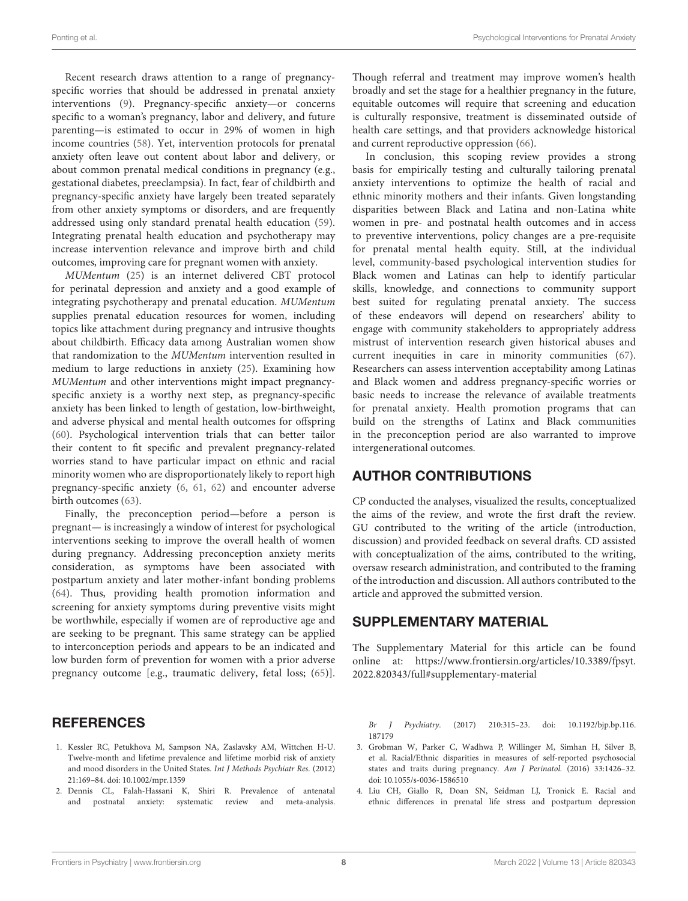Recent research draws attention to a range of pregnancyspecific worries that should be addressed in prenatal anxiety interventions [\(9\)](#page-8-4). Pregnancy-specific anxiety—or concerns specific to a woman's pregnancy, labor and delivery, and future parenting—is estimated to occur in 29% of women in high income countries [\(58\)](#page-9-15). Yet, intervention protocols for prenatal anxiety often leave out content about labor and delivery, or about common prenatal medical conditions in pregnancy (e.g., gestational diabetes, preeclampsia). In fact, fear of childbirth and pregnancy-specific anxiety have largely been treated separately from other anxiety symptoms or disorders, and are frequently addressed using only standard prenatal health education [\(59\)](#page-9-16). Integrating prenatal health education and psychotherapy may increase intervention relevance and improve birth and child outcomes, improving care for pregnant women with anxiety.

MUMentum [\(25\)](#page-8-18) is an internet delivered CBT protocol for perinatal depression and anxiety and a good example of integrating psychotherapy and prenatal education. MUMentum supplies prenatal education resources for women, including topics like attachment during pregnancy and intrusive thoughts about childbirth. Efficacy data among Australian women show that randomization to the MUMentum intervention resulted in medium to large reductions in anxiety [\(25\)](#page-8-18). Examining how MUMentum and other interventions might impact pregnancyspecific anxiety is a worthy next step, as pregnancy-specific anxiety has been linked to length of gestation, low-birthweight, and adverse physical and mental health outcomes for offspring [\(60\)](#page-9-17). Psychological intervention trials that can better tailor their content to fit specific and prevalent pregnancy-related worries stand to have particular impact on ethnic and racial minority women who are disproportionately likely to report high pregnancy-specific anxiety [\(6,](#page-8-1) [61,](#page-9-18) [62\)](#page-9-19) and encounter adverse birth outcomes [\(63\)](#page-9-20).

Finally, the preconception period—before a person is pregnant— is increasingly a window of interest for psychological interventions seeking to improve the overall health of women during pregnancy. Addressing preconception anxiety merits consideration, as symptoms have been associated with postpartum anxiety and later mother-infant bonding problems [\(64\)](#page-9-21). Thus, providing health promotion information and screening for anxiety symptoms during preventive visits might be worthwhile, especially if women are of reproductive age and are seeking to be pregnant. This same strategy can be applied to interconception periods and appears to be an indicated and low burden form of prevention for women with a prior adverse pregnancy outcome [e.g., traumatic delivery, fetal loss; [\(65\)](#page-9-22)].

#### **REFERENCES**

- <span id="page-7-0"></span>1. Kessler RC, Petukhova M, Sampson NA, Zaslavsky AM, Wittchen H-U. Twelve-month and lifetime prevalence and lifetime morbid risk of anxiety and mood disorders in the United States. Int J Methods Psychiatr Res. (2012) 21:169–84. doi: [10.1002/mpr.1359](https://doi.org/10.1002/mpr.1359)
- <span id="page-7-1"></span>2. Dennis CL, Falah-Hassani K, Shiri R. Prevalence of antenatal and postnatal anxiety: systematic review and meta-analysis.

Though referral and treatment may improve women's health broadly and set the stage for a healthier pregnancy in the future, equitable outcomes will require that screening and education is culturally responsive, treatment is disseminated outside of health care settings, and that providers acknowledge historical and current reproductive oppression [\(66\)](#page-9-23).

In conclusion, this scoping review provides a strong basis for empirically testing and culturally tailoring prenatal anxiety interventions to optimize the health of racial and ethnic minority mothers and their infants. Given longstanding disparities between Black and Latina and non-Latina white women in pre- and postnatal health outcomes and in access to preventive interventions, policy changes are a pre-requisite for prenatal mental health equity. Still, at the individual level, community-based psychological intervention studies for Black women and Latinas can help to identify particular skills, knowledge, and connections to community support best suited for regulating prenatal anxiety. The success of these endeavors will depend on researchers' ability to engage with community stakeholders to appropriately address mistrust of intervention research given historical abuses and current inequities in care in minority communities [\(67\)](#page-9-24). Researchers can assess intervention acceptability among Latinas and Black women and address pregnancy-specific worries or basic needs to increase the relevance of available treatments for prenatal anxiety. Health promotion programs that can build on the strengths of Latinx and Black communities in the preconception period are also warranted to improve intergenerational outcomes.

### AUTHOR CONTRIBUTIONS

CP conducted the analyses, visualized the results, conceptualized the aims of the review, and wrote the first draft the review. GU contributed to the writing of the article (introduction, discussion) and provided feedback on several drafts. CD assisted with conceptualization of the aims, contributed to the writing, oversaw research administration, and contributed to the framing of the introduction and discussion. All authors contributed to the article and approved the submitted version.

### SUPPLEMENTARY MATERIAL

<span id="page-7-4"></span>The Supplementary Material for this article can be found [online at: https://www.frontiersin.org/articles/10.3389/fpsyt.](https://www.frontiersin.org/articles/10.3389/fpsyt.2022.820343/full#supplementary-material) 2022.820343/full#supplementary-material

Br J Psychiatry[. \(2017\) 210:315–23. doi: 10.1192/bjp.bp.116.](https://doi.org/10.1192/bjp.bp.116.187179) 187179

- <span id="page-7-2"></span>3. Grobman W, Parker C, Wadhwa P, Willinger M, Simhan H, Silver B, et al. Racial/Ethnic disparities in measures of self-reported psychosocial states and traits during pregnancy. Am J Perinatol. (2016) 33:1426–32. doi: [10.1055/s-0036-1586510](https://doi.org/10.1055/s-0036-1586510)
- <span id="page-7-3"></span>4. Liu CH, Giallo R, Doan SN, Seidman LJ, Tronick E. Racial and ethnic differences in prenatal life stress and postpartum depression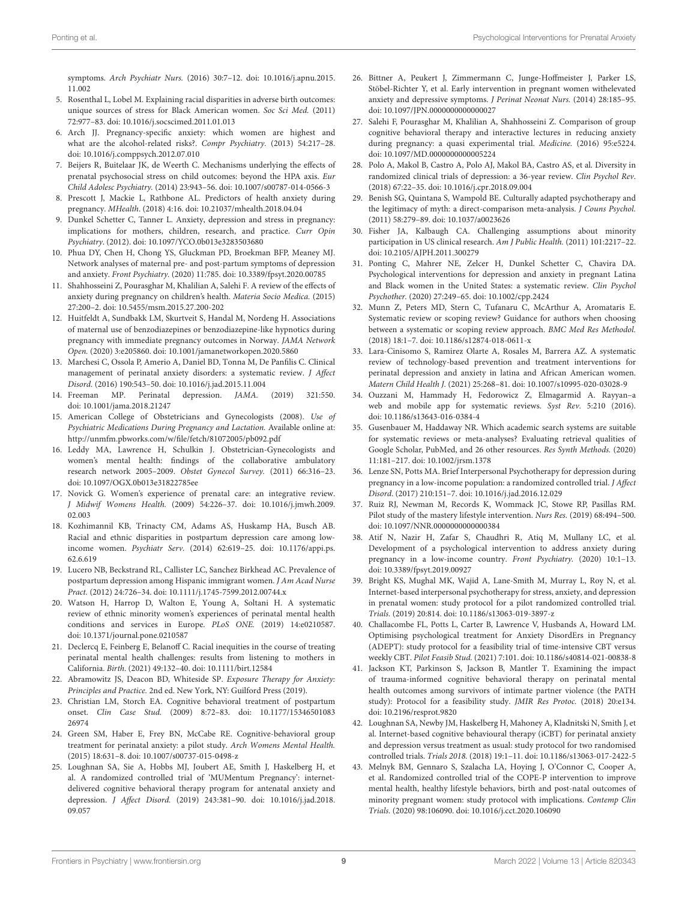symptoms. Arch Psychiatr Nurs. [\(2016\) 30:7–12. doi: 10.1016/j.apnu.2015.](https://doi.org/10.1016/j.apnu.2015.11.002) 11.002

- <span id="page-8-0"></span>5. Rosenthal L, Lobel M. Explaining racial disparities in adverse birth outcomes: unique sources of stress for Black American women. Soc Sci Med. (2011) 72:977–83. doi: [10.1016/j.socscimed.2011.01.013](https://doi.org/10.1016/j.socscimed.2011.01.013)
- <span id="page-8-1"></span>6. Arch JJ. Pregnancy-specific anxiety: which women are highest and what are the alcohol-related risks?. Compr Psychiatry. (2013) 54:217–28. doi: [10.1016/j.comppsych.2012.07.010](https://doi.org/10.1016/j.comppsych.2012.07.010)
- <span id="page-8-2"></span>7. Beijers R, Buitelaar JK, de Weerth C. Mechanisms underlying the effects of prenatal psychosocial stress on child outcomes: beyond the HPA axis. Eur Child Adolesc Psychiatry. (2014) 23:943–56. doi: [10.1007/s00787-014-0566-3](https://doi.org/10.1007/s00787-014-0566-3)
- <span id="page-8-3"></span>8. Prescott J, Mackie L, Rathbone AL. Predictors of health anxiety during pregnancy. MHealth. (2018) 4:16. doi: [10.21037/mhealth.2018.04.04](https://doi.org/10.21037/mhealth.2018.04.04)
- <span id="page-8-4"></span>9. Dunkel Schetter C, Tanner L. Anxiety, depression and stress in pregnancy: implications for mothers, children, research, and practice. Curr Opin Psychiatry. (2012). doi: [10.1097/YCO.0b013e3283503680](https://doi.org/10.1097/YCO.0b013e3283503680)
- 10. Phua DY, Chen H, Chong YS, Gluckman PD, Broekman BFP, Meaney MJ. Network analyses of maternal pre- and post-partum symptoms of depression and anxiety. Front Psychiatry. (2020) 11:785. doi: [10.3389/fpsyt.2020.00785](https://doi.org/10.3389/fpsyt.2020.00785)
- <span id="page-8-5"></span>11. Shahhosseini Z, Pourasghar M, Khalilian A, Salehi F. A review of the effects of anxiety during pregnancy on children's health. Materia Socio Medica. (2015) 27:200–2. doi: [10.5455/msm.2015.27.200-202](https://doi.org/10.5455/msm.2015.27.200-202)
- <span id="page-8-6"></span>12. Huitfeldt A, Sundbakk LM, Skurtveit S, Handal M, Nordeng H. Associations of maternal use of benzodiazepines or benzodiazepine-like hypnotics during pregnancy with immediate pregnancy outcomes in Norway. JAMA Network Open. (2020) 3:e205860. doi: [10.1001/jamanetworkopen.2020.5860](https://doi.org/10.1001/jamanetworkopen.2020.5860)
- <span id="page-8-36"></span><span id="page-8-35"></span><span id="page-8-7"></span>13. Marchesi C, Ossola P, Amerio A, Daniel BD, Tonna M, De Panfilis C. Clinical management of perinatal anxiety disorders: a systematic review. J Affect Disord. (2016) 190:543–50. doi: [10.1016/j.jad.2015.11.004](https://doi.org/10.1016/j.jad.2015.11.004)
- <span id="page-8-8"></span>14. Freeman MP. Perinatal depression. JAMA. (2019) 321:550. doi: [10.1001/jama.2018.21247](https://doi.org/10.1001/jama.2018.21247)
- <span id="page-8-9"></span>15. American College of Obstetricians and Gynecologists (2008). Use of Psychiatric Medications During Pregnancy and Lactation. Available online at: <http://unmfm.pbworks.com/w/file/fetch/81072005/pb092.pdf>
- <span id="page-8-10"></span>16. Leddy MA, Lawrence H, Schulkin J. Obstetrician-Gynecologists and women's mental health: findings of the collaborative ambulatory research network 2005–2009. Obstet Gynecol Survey. (2011) 66:316–23. doi: [10.1097/OGX.0b013e31822785ee](https://doi.org/10.1097/OGX.0b013e31822785ee)
- <span id="page-8-11"></span>17. Novick G. Women's experience of prenatal care: an integrative review. J Midwif Womens Health. [\(2009\) 54:226–37. doi: 10.1016/j.jmwh.2009.](https://doi.org/10.1016/j.jmwh.2009.02.003) 02.003
- <span id="page-8-12"></span>18. Kozhimannil KB, Trinacty CM, Adams AS, Huskamp HA, Busch AB. Racial and ethnic disparities in postpartum depression care among lowincome women. Psychiatr Serv. [\(2014\) 62:619–25. doi: 10.1176/appi.ps.](https://doi.org/10.1176/appi.ps.62.6.619) 62.6.619
- <span id="page-8-13"></span>19. Lucero NB, Beckstrand RL, Callister LC, Sanchez Birkhead AC. Prevalence of postpartum depression among Hispanic immigrant women. J Am Acad Nurse Pract. (2012) 24:726–34. doi: [10.1111/j.1745-7599.2012.00744.x](https://doi.org/10.1111/j.1745-7599.2012.00744.x)
- <span id="page-8-14"></span>20. Watson H, Harrop D, Walton E, Young A, Soltani H. A systematic review of ethnic minority women's experiences of perinatal mental health conditions and services in Europe. PLoS ONE. (2019) 14:e0210587. doi: [10.1371/journal.pone.0210587](https://doi.org/10.1371/journal.pone.0210587)
- <span id="page-8-15"></span>21. Declercq E, Feinberg E, Belanoff C. Racial inequities in the course of treating perinatal mental health challenges: results from listening to mothers in California. Birth. (2021) 49:132–40. doi: [10.1111/birt.12584](https://doi.org/10.1111/birt.12584)
- <span id="page-8-16"></span>22. Abramowitz JS, Deacon BD, Whiteside SP. Exposure Therapy for Anxiety: Principles and Practice. 2nd ed. New York, NY: Guilford Press (2019).
- <span id="page-8-17"></span>23. Christian LM, Storch EA. Cognitive behavioral treatment of postpartum onset. Clin Case Stud. [\(2009\) 8:72–83. doi: 10.1177/15346501083](https://doi.org/10.1177/1534650108326974) 26974
- 24. Green SM, Haber E, Frey BN, McCabe RE. Cognitive-behavioral group treatment for perinatal anxiety: a pilot study. Arch Womens Mental Health. (2015) 18:631–8. doi: [10.1007/s00737-015-0498-z](https://doi.org/10.1007/s00737-015-0498-z)
- <span id="page-8-18"></span>25. Loughnan SA, Sie A, Hobbs MJ, Joubert AE, Smith J, Haskelberg H, et al. A randomized controlled trial of 'MUMentum Pregnancy': internetdelivered cognitive behavioral therapy program for antenatal anxiety and depression. J Affect Disord. [\(2019\) 243:381–90. doi: 10.1016/j.jad.2018.](https://doi.org/10.1016/j.jad.2018.09.057) 09.057
- <span id="page-8-19"></span>26. Bittner A, Peukert J, Zimmermann C, Junge-Hoffmeister J, Parker LS, Stöbel-Richter Y, et al. Early intervention in pregnant women withelevated anxiety and depressive symptoms. J Perinat Neonat Nurs. (2014) 28:185–95. doi: [10.1097/JPN.0000000000000027](https://doi.org/10.1097/JPN.0000000000000027)
- <span id="page-8-20"></span>27. Salehi F, Pourasghar M, Khalilian A, Shahhosseini Z. Comparison of group cognitive behavioral therapy and interactive lectures in reducing anxiety during pregnancy: a quasi experimental trial. Medicine. (2016) 95:e5224. doi: [10.1097/MD.0000000000005224](https://doi.org/10.1097/MD.0000000000005224)
- <span id="page-8-21"></span>28. Polo A, Makol B, Castro A, Polo AJ, Makol BA, Castro AS, et al. Diversity in randomized clinical trials of depression: a 36-year review. Clin Psychol Rev. (2018) 67:22–35. doi: [10.1016/j.cpr.2018.09.004](https://doi.org/10.1016/j.cpr.2018.09.004)
- <span id="page-8-22"></span>29. Benish SG, Quintana S, Wampold BE. Culturally adapted psychotherapy and the legitimacy of myth: a direct-comparison meta-analysis. J Couns Psychol. (2011) 58:279–89. doi: [10.1037/a0023626](https://doi.org/10.1037/a0023626)
- <span id="page-8-23"></span>30. Fisher JA, Kalbaugh CA. Challenging assumptions about minority participation in US clinical research. Am J Public Health. (2011) 101:2217–22. doi: [10.2105/AJPH.2011.300279](https://doi.org/10.2105/AJPH.2011.300279)
- <span id="page-8-24"></span>31. Ponting C, Mahrer NE, Zelcer H, Dunkel Schetter C, Chavira DA. Psychological interventions for depression and anxiety in pregnant Latina and Black women in the United States: a systematic review. Clin Psychol Psychother. (2020) 27:249–65. doi: [10.1002/cpp.2424](https://doi.org/10.1002/cpp.2424)
- <span id="page-8-25"></span>32. Munn Z, Peters MD, Stern C, Tufanaru C, McArthur A, Aromataris E. Systematic review or scoping review? Guidance for authors when choosing between a systematic or scoping review approach. BMC Med Res Methodol. (2018) 18:1–7. doi: [10.1186/s12874-018-0611-x](https://doi.org/10.1186/s12874-018-0611-x)
- <span id="page-8-34"></span><span id="page-8-33"></span><span id="page-8-32"></span><span id="page-8-31"></span><span id="page-8-30"></span><span id="page-8-29"></span><span id="page-8-26"></span>33. Lara-Cinisomo S, Ramirez Olarte A, Rosales M, Barrera AZ. A systematic review of technology-based prevention and treatment interventions for perinatal depression and anxiety in latina and African American women. Matern Child Health J. (2021) 25:268–81. doi: [10.1007/s10995-020-03028-9](https://doi.org/10.1007/s10995-020-03028-9)
- <span id="page-8-27"></span>34. Ouzzani M, Hammady H, Fedorowicz Z, Elmagarmid A. Rayyan–a web and mobile app for systematic reviews. Syst Rev. 5:210 (2016). doi: [10.1186/s13643-016-0384-4](https://doi.org/10.1186/s13643-016-0384-4)
- <span id="page-8-28"></span>35. Gusenbauer M, Haddaway NR. Which academic search systems are suitable for systematic reviews or meta-analyses? Evaluating retrieval qualities of Google Scholar, PubMed, and 26 other resources. Res Synth Methods. (2020) 11:181–217. doi: [10.1002/jrsm.1378](https://doi.org/10.1002/jrsm.1378)
- <span id="page-8-37"></span>36. Lenze SN, Potts MA. Brief Interpersonal Psychotherapy for depression during pregnancy in a low-income population: a randomized controlled trial. J Affect Disord. (2017) 210:151–7. doi: [10.1016/j.jad.2016.12.029](https://doi.org/10.1016/j.jad.2016.12.029)
- <span id="page-8-38"></span>37. Ruiz RJ, Newman M, Records K, Wommack JC, Stowe RP, Pasillas RM. Pilot study of the mastery lifestyle intervention. Nurs Res. (2019) 68:494–500. doi: [10.1097/NNR.0000000000000384](https://doi.org/10.1097/NNR.0000000000000384)
- <span id="page-8-39"></span>38. Atif N, Nazir H, Zafar S, Chaudhri R, Atiq M, Mullany LC, et al. Development of a psychological intervention to address anxiety during pregnancy in a low-income country. Front Psychiatry. (2020) 10:1–13. doi: [10.3389/fpsyt.2019.00927](https://doi.org/10.3389/fpsyt.2019.00927)
- 39. Bright KS, Mughal MK, Wajid A, Lane-Smith M, Murray L, Roy N, et al. Internet-based interpersonal psychotherapy for stress, anxiety, and depression in prenatal women: study protocol for a pilot randomized controlled trial. Trials. (2019) 20:814. doi: [10.1186/s13063-019-3897-z](https://doi.org/10.1186/s13063-019-3897-z)
- <span id="page-8-40"></span>40. Challacombe FL, Potts L, Carter B, Lawrence V, Husbands A, Howard LM. Optimising psychological treatment for Anxiety DisordErs in Pregnancy (ADEPT): study protocol for a feasibility trial of time-intensive CBT versus weekly CBT. Pilot Feasib Stud. (2021) 7:101. doi: [10.1186/s40814-021-00838-8](https://doi.org/10.1186/s40814-021-00838-8)
- <span id="page-8-41"></span>41. Jackson KT, Parkinson S, Jackson B, Mantler T. Examining the impact of trauma-informed cognitive behavioral therapy on perinatal mental health outcomes among survivors of intimate partner violence (the PATH study): Protocol for a feasibility study. JMIR Res Protoc. (2018) 20:e134. doi: [10.2196/resprot.9820](https://doi.org/10.2196/resprot.9820)
- <span id="page-8-43"></span>42. Loughnan SA, Newby JM, Haskelberg H, Mahoney A, Kladnitski N, Smith J, et al. Internet-based cognitive behavioural therapy (iCBT) for perinatal anxiety and depression versus treatment as usual: study protocol for two randomised controlled trials. Trials 2018. (2018) 19:1–11. doi: [10.1186/s13063-017-2422-5](https://doi.org/10.1186/s13063-017-2422-5)
- <span id="page-8-42"></span>43. Melnyk BM, Gennaro S, Szalacha LA, Hoying J, O'Connor C, Cooper A, et al. Randomized controlled trial of the COPE-P intervention to improve mental health, healthy lifestyle behaviors, birth and post-natal outcomes of minority pregnant women: study protocol with implications. Contemp Clin Trials. (2020) 98:106090. doi: [10.1016/j.cct.2020.106090](https://doi.org/10.1016/j.cct.2020.106090)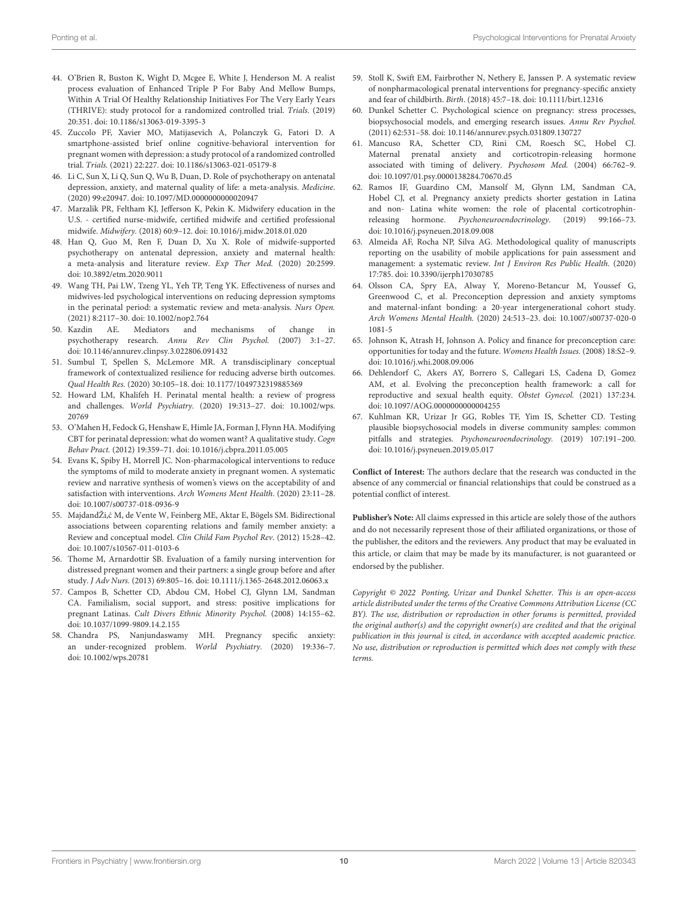- <span id="page-9-2"></span>44. O'Brien R, Buston K, Wight D, Mcgee E, White J, Henderson M. A realist process evaluation of Enhanced Triple P For Baby And Mellow Bumps, Within A Trial Of Healthy Relationship Initiatives For The Very Early Years (THRIVE): study protocol for a randomized controlled trial. Trials. (2019) 20:351. doi: [10.1186/s13063-019-3395-3](https://doi.org/10.1186/s13063-019-3395-3)
- <span id="page-9-1"></span>45. Zuccolo PF, Xavier MO, Matijasevich A, Polanczyk G, Fatori D. A smartphone-assisted brief online cognitive-behavioral intervention for pregnant women with depression: a study protocol of a randomized controlled trial. Trials. (2021) 22:227. doi: [10.1186/s13063-021-05179-8](https://doi.org/10.1186/s13063-021-05179-8)
- <span id="page-9-3"></span>46. Li C, Sun X, Li Q, Sun Q, Wu B, Duan, D. Role of psychotherapy on antenatal depression, anxiety, and maternal quality of life: a meta-analysis. Medicine. (2020) 99:e20947. doi: [10.1097/MD.0000000000020947](https://doi.org/10.1097/MD.0000000000020947)
- <span id="page-9-4"></span>47. Marzalik PR, Feltham KJ, Jefferson K, Pekin K. Midwifery education in the U.S. - certified nurse-midwife, certified midwife and certified professional midwife. Midwifery. (2018) 60:9–12. doi: [10.1016/j.midw.2018.01.020](https://doi.org/10.1016/j.midw.2018.01.020)
- <span id="page-9-5"></span>48. Han Q, Guo M, Ren F, Duan D, Xu X. Role of midwife-supported psychotherapy on antenatal depression, anxiety and maternal health: a meta-analysis and literature review. Exp Ther Med. (2020) 20:2599. doi: [10.3892/etm.2020.9011](https://doi.org/10.3892/etm.2020.9011)
- <span id="page-9-6"></span>49. Wang TH, Pai LW, Tzeng YL, Yeh TP, Teng YK. Effectiveness of nurses and midwives-led psychological interventions on reducing depression symptoms in the perinatal period: a systematic review and meta-analysis. Nurs Open. (2021) 8:2117–30. doi: [10.1002/nop2.764](https://doi.org/10.1002/nop2.764)
- <span id="page-9-7"></span>50. Kazdin AE. Mediators and mechanisms of change in psychotherapy research. Annu Rev Clin Psychol. (2007) 3:1–27. doi: [10.1146/annurev.clinpsy.3.022806.091432](https://doi.org/10.1146/annurev.clinpsy.3.022806.091432)
- <span id="page-9-8"></span>51. Sumbul T, Spellen S, McLemore MR. A transdisciplinary conceptual framework of contextualized resilience for reducing adverse birth outcomes. Qual Health Res. (2020) 30:105–18. doi: [10.1177/1049732319885369](https://doi.org/10.1177/1049732319885369)
- <span id="page-9-9"></span>52. Howard LM, Khalifeh H. Perinatal mental health: a review of progress and challenges. World Psychiatry. [\(2020\) 19:313–27. doi: 10.1002/wps.](https://doi.org/10.1002/wps.20769) 20769
- <span id="page-9-10"></span>53. O'Mahen H, Fedock G, Henshaw E, Himle JA, Forman J, Flynn HA. Modifying CBT for perinatal depression: what do women want? A qualitative study. Cogn Behav Pract. (2012) 19:359–71. doi: [10.1016/j.cbpra.2011.05.005](https://doi.org/10.1016/j.cbpra.2011.05.005)
- <span id="page-9-11"></span>54. Evans K, Spiby H, Morrell JC. Non-pharmacological interventions to reduce the symptoms of mild to moderate anxiety in pregnant women. A systematic review and narrative synthesis of women's views on the acceptability of and satisfaction with interventions. Arch Womens Ment Health. (2020) 23:11–28. doi: [10.1007/s00737-018-0936-9](https://doi.org/10.1007/s00737-018-0936-9)
- <span id="page-9-12"></span>55. MajdandŽi,ć M, de Vente W, Feinberg ME, Aktar E, Bögels SM. Bidirectional associations between coparenting relations and family member anxiety: a Review and conceptual model. Clin Child Fam Psychol Rev. (2012) 15:28–42. doi: [10.1007/s10567-011-0103-6](https://doi.org/10.1007/s10567-011-0103-6)
- <span id="page-9-13"></span>56. Thome M, Arnardottir SB. Evaluation of a family nursing intervention for distressed pregnant women and their partners: a single group before and after study. J Adv Nurs. (2013) 69:805–16. doi: [10.1111/j.1365-2648.2012.06063.x](https://doi.org/10.1111/j.1365-2648.2012.06063.x)
- <span id="page-9-14"></span>57. Campos B, Schetter CD, Abdou CM, Hobel CJ, Glynn LM, Sandman CA. Familialism, social support, and stress: positive implications for pregnant Latinas. Cult Divers Ethnic Minority Psychol. (2008) 14:155–62. doi: [10.1037/1099-9809.14.2.155](https://doi.org/10.1037/1099-9809.14.2.155)
- <span id="page-9-15"></span>58. Chandra PS, Nanjundaswamy MH. Pregnancy specific anxiety: an under-recognized problem. World Psychiatry. (2020) 19:336–7. doi: [10.1002/wps.20781](https://doi.org/10.1002/wps.20781)
- <span id="page-9-16"></span><span id="page-9-0"></span>59. Stoll K, Swift EM, Fairbrother N, Nethery E, Janssen P. A systematic review of nonpharmacological prenatal interventions for pregnancy-specific anxiety and fear of childbirth. Birth. (2018) 45:7–18. doi: [10.1111/birt.12316](https://doi.org/10.1111/birt.12316)
- <span id="page-9-17"></span>60. Dunkel Schetter C. Psychological science on pregnancy: stress processes, biopsychosocial models, and emerging research issues. Annu Rev Psychol. (2011) 62:531–58. doi: [10.1146/annurev.psych.031809.130727](https://doi.org/10.1146/annurev.psych.031809.130727)
- <span id="page-9-18"></span>61. Mancuso RA, Schetter CD, Rini CM, Roesch SC, Hobel CJ. Maternal prenatal anxiety and corticotropin-releasing hormone associated with timing of delivery. Psychosom Med. (2004) 66:762–9. doi: [10.1097/01.psy.0000138284.70670.d5](https://doi.org/10.1097/01.psy.0000138284.70670.d5)
- <span id="page-9-19"></span>62. Ramos IF, Guardino CM, Mansolf M, Glynn LM, Sandman CA, Hobel CJ, et al. Pregnancy anxiety predicts shorter gestation in Latina and non- Latina white women: the role of placental corticotrophinreleasing hormone. Psychoneuroendocrinology. (2019) 99:166–73. doi: [10.1016/j.psyneuen.2018.09.008](https://doi.org/10.1016/j.psyneuen.2018.09.008)
- <span id="page-9-20"></span>63. Almeida AF, Rocha NP, Silva AG. Methodological quality of manuscripts reporting on the usability of mobile applications for pain assessment and management: a systematic review. Int J Environ Res Public Health. (2020) 17:785. doi: [10.3390/ijerph17030785](https://doi.org/10.3390/ijerph17030785)
- <span id="page-9-21"></span>64. Olsson CA, Spry EA, Alway Y, Moreno-Betancur M, Youssef G, Greenwood C, et al. Preconception depression and anxiety symptoms and maternal-infant bonding: a 20-year intergenerational cohort study. Arch Womens Mental Health. [\(2020\) 24:513–23. doi: 10.1007/s00737-020-0](https://doi.org/10.1007/s00737-020-01081-5) 1081-5
- <span id="page-9-22"></span>65. Johnson K, Atrash H, Johnson A. Policy and finance for preconception care: opportunities for today and the future. Womens Health Issues. (2008) 18:S2–9. doi: [10.1016/j.whi.2008.09.006](https://doi.org/10.1016/j.whi.2008.09.006)
- <span id="page-9-23"></span>66. Dehlendorf C, Akers AY, Borrero S, Callegari LS, Cadena D, Gomez AM, et al. Evolving the preconception health framework: a call for reproductive and sexual health equity. Obstet Gynecol. (2021) 137:234. doi: [10.1097/AOG.0000000000004255](https://doi.org/10.1097/AOG.0000000000004255)
- <span id="page-9-24"></span>67. Kuhlman KR, Urizar Jr GG, Robles TF, Yim IS, Schetter CD. Testing plausible biopsychosocial models in diverse community samples: common pitfalls and strategies. Psychoneuroendocrinology. (2019) 107:191–200. doi: [10.1016/j.psyneuen.2019.05.017](https://doi.org/10.1016/j.psyneuen.2019.05.017)

**Conflict of Interest:** The authors declare that the research was conducted in the absence of any commercial or financial relationships that could be construed as a potential conflict of interest.

**Publisher's Note:** All claims expressed in this article are solely those of the authors and do not necessarily represent those of their affiliated organizations, or those of the publisher, the editors and the reviewers. Any product that may be evaluated in this article, or claim that may be made by its manufacturer, is not guaranteed or endorsed by the publisher.

Copyright © 2022 Ponting, Urizar and Dunkel Schetter. This is an open-access article distributed under the terms of the [Creative Commons](http://creativecommons.org/licenses/by/4.0/) [Attribution License](http://creativecommons.org/licenses/by/4.0/) (CC [BY\). The use, distribution or reproduction in other forums is](http://creativecommons.org/licenses/by/4.0/) permitted, provided the original author(s) and the copyright owner(s) are credited and that the original publication in this journal is cited, in accordance with accepted academic practice. No use, distribution or reproduction is permitted which does not comply with these terms.